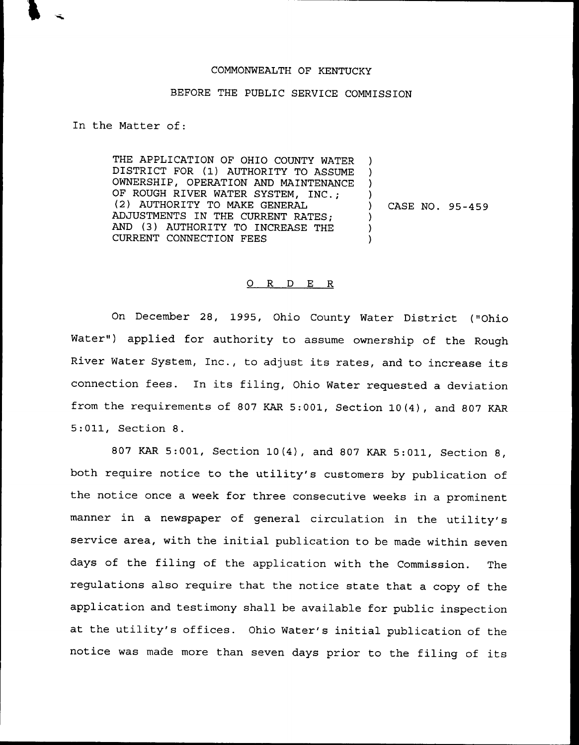## COMMONWEALTH OF KENTUCKY

## BEFORE THE PUBLIC SERVICE COMMISSION

In the Matter of:

THE APPLICATION OF OHIO COUNTY WATER DISTRICT FOR (1) AUTHORITY TO ASSUME OWNERSHIP, OPERATION AND MAINTENANCE OF ROUGH RIVER WATER SYSTEM, INC.; (2) AUTHORITY TO MAKE GENERAL ADJUSTMENTS IN THE CURRENT RATES; AND (3) AUTHORITY TO INCREASE THE CURRENT CONNECTION FEES ) ) ) ) ) CASE NO. 95-459 ) ) )

## 0 R <sup>D</sup> E R

On December 28, 1995, Ohio County Water District ("Ohio Water") applied for authority to assume ownership of the Rough River Water System, Inc., to adjust its rates, and to increase its connection fees. In its filing, Ohio Water requested <sup>a</sup> deviation from the requirements of 807 KAR 5:001, Section 10(4), and 807 KAR 5:011, Section 8.

<sup>807</sup> KAR 5:001, Section 10(4), and <sup>807</sup> KAR 5:011, Section 8, both require notice to the utility's customers by publication of the notice once a week for three consecutive weeks in a prominent manner in a newspaper of general circulation in the utility's service area, with the initial publication to be made within seven days of the filing of the application with the Commission. The regulations also require that the notice state that a copy of the application and testimony shall be available for public inspection at the utility's offices. Ohio Water's initial publication of the notice was made more than seven days prior to the filing of its